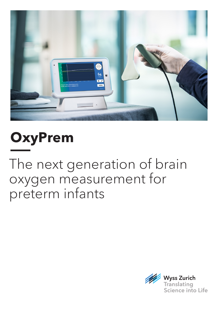

**OxyPrem**

The next generation of brain oxygen measurement for preterm infants